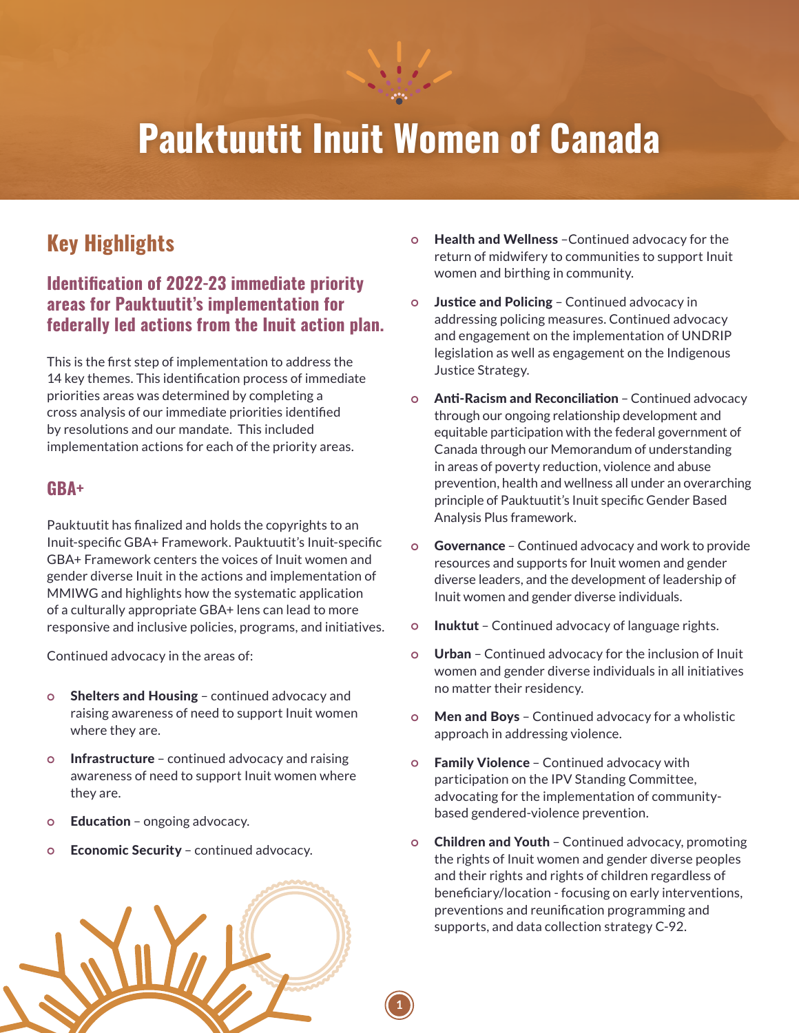

# **Pauktuutit Inuit Women of Canada**

**1**

### **Key Highlights**

#### **Identification of 2022-23 immediate priority areas for Pauktuutit's implementation for federally led actions from the Inuit action plan.**

This is the first step of implementation to address the 14 key themes. This identification process of immediate priorities areas was determined by completing a cross analysis of our immediate priorities identified by resolutions and our mandate. This included implementation actions for each of the priority areas.

#### **GBA+**

Pauktuutit has finalized and holds the copyrights to an Inuit-specific GBA+ Framework. Pauktuutit's Inuit-specific GBA+ Framework centers the voices of Inuit women and gender diverse Inuit in the actions and implementation of MMIWG and highlights how the systematic application of a culturally appropriate GBA+ lens can lead to more responsive and inclusive policies, programs, and initiatives.

Continued advocacy in the areas of:

- Shelters and Housing continued advocacy and raising awareness of need to support Inuit women where they are.
- Infrastructure continued advocacy and raising awareness of need to support Inuit women where they are.
- Education ongoing advocacy.
- Economic Security continued advocacy.
- Health and Wellness –Continued advocacy for the return of midwifery to communities to support Inuit women and birthing in community.
- Justice and Policing Continued advocacy in addressing policing measures. Continued advocacy and engagement on the implementation of UNDRIP legislation as well as engagement on the Indigenous Justice Strategy.
- Anti-Racism and Reconciliation Continued advocacy through our ongoing relationship development and equitable participation with the federal government of Canada through our Memorandum of understanding in areas of poverty reduction, violence and abuse prevention, health and wellness all under an overarching principle of Pauktuutit's Inuit specific Gender Based Analysis Plus framework.
- Governance Continued advocacy and work to provide resources and supports for Inuit women and gender diverse leaders, and the development of leadership of Inuit women and gender diverse individuals.
- Inuktut Continued advocacy of language rights.
- Urban Continued advocacy for the inclusion of Inuit women and gender diverse individuals in all initiatives no matter their residency.
- Men and Boys Continued advocacy for a wholistic approach in addressing violence.
- Family Violence Continued advocacy with participation on the IPV Standing Committee, advocating for the implementation of communitybased gendered-violence prevention.
- Children and Youth Continued advocacy, promoting the rights of Inuit women and gender diverse peoples and their rights and rights of children regardless of beneficiary/location - focusing on early interventions, preventions and reunification programming and supports, and data collection strategy C-92.